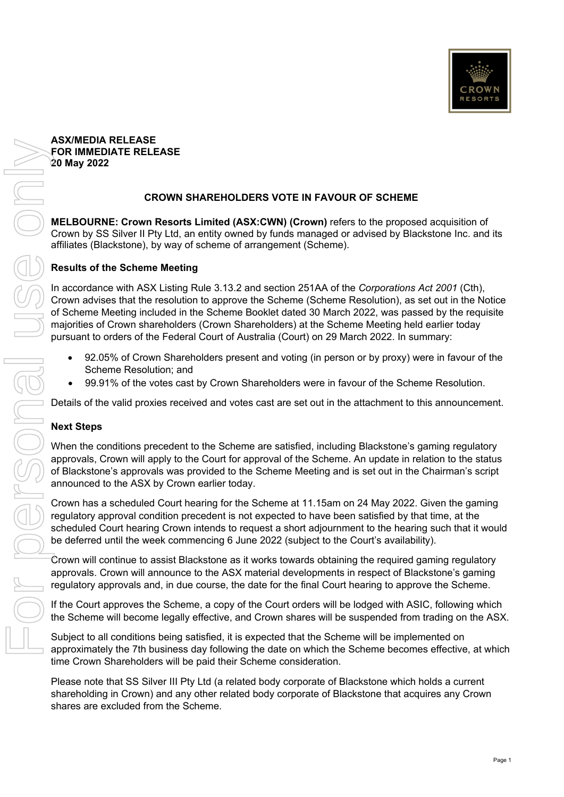#### **ASX/MEDIA RELEASE FOR IMMEDIATE RELEASE 20 May 2022**

# **CROWN SHAREHOLDERS VOTE IN FAVOUR OF SCHEME**

**MELBOURNE: Crown Resorts Limited (ASX:CWN) (Crown)** refers to the proposed acquisition of Crown by SS Silver II Pty Ltd, an entity owned by funds managed or advised by Blackstone Inc. and its affiliates (Blackstone), by way of scheme of arrangement (Scheme).

## **Results of the Scheme Meeting**

In accordance with ASX Listing Rule 3.13.2 and section 251AA of the *Corporations Act 2001* (Cth), Crown advises that the resolution to approve the Scheme (Scheme Resolution), as set out in the Notice of Scheme Meeting included in the Scheme Booklet dated 30 March 2022, was passed by the requisite majorities of Crown shareholders (Crown Shareholders) at the Scheme Meeting held earlier today pursuant to orders of the Federal Court of Australia (Court) on 29 March 2022. In summary:

- 92.05% of Crown Shareholders present and voting (in person or by proxy) were in favour of the Scheme Resolution; and
- 99.91% of the votes cast by Crown Shareholders were in favour of the Scheme Resolution.

Details of the valid proxies received and votes cast are set out in the attachment to this announcement.

### **Next Steps**

When the conditions precedent to the Scheme are satisfied, including Blackstone's gaming regulatory approvals, Crown will apply to the Court for approval of the Scheme. An update in relation to the status of Blackstone's approvals was provided to the Scheme Meeting and is set out in the Chairman's script announced to the ASX by Crown earlier today.

Crown has a scheduled Court hearing for the Scheme at 11.15am on 24 May 2022. Given the gaming regulatory approval condition precedent is not expected to have been satisfied by that time, at the scheduled Court hearing Crown intends to request a short adjournment to the hearing such that it would be deferred until the week commencing 6 June 2022 (subject to the Court's availability).

Crown will continue to assist Blackstone as it works towards obtaining the required gaming regulatory approvals. Crown will announce to the ASX material developments in respect of Blackstone's gaming regulatory approvals and, in due course, the date for the final Court hearing to approve the Scheme.

If the Court approves the Scheme, a copy of the Court orders will be lodged with ASIC, following which the Scheme will become legally effective, and Crown shares will be suspended from trading on the ASX.

Subject to all conditions being satisfied, it is expected that the Scheme will be implemented on approximately the 7th business day following the date on which the Scheme becomes effective, at which time Crown Shareholders will be paid their Scheme consideration.

Please note that SS Silver III Pty Ltd (a related body corporate of Blackstone which holds a current shareholding in Crown) and any other related body corporate of Blackstone that acquires any Crown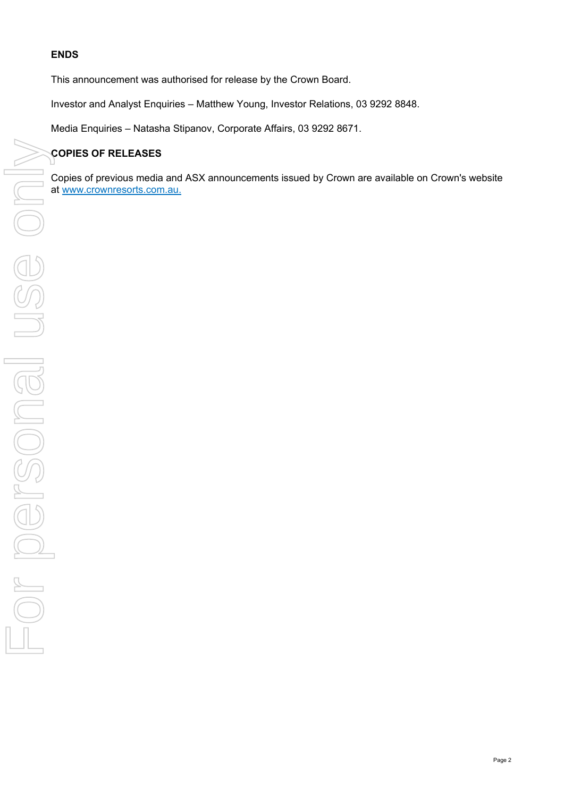# **ENDS**

This announcement was authorised for release by the Crown Board.

Investor and Analyst Enquiries – Matthew Young, Investor Relations, 03 9292 8848.

Media Enquiries – Natasha Stipanov, Corporate Affairs, 03 9292 8671.

# **COPIES OF RELEASES**

Copies of previous media and ASX announcements issued by Crown are available on Crown's website